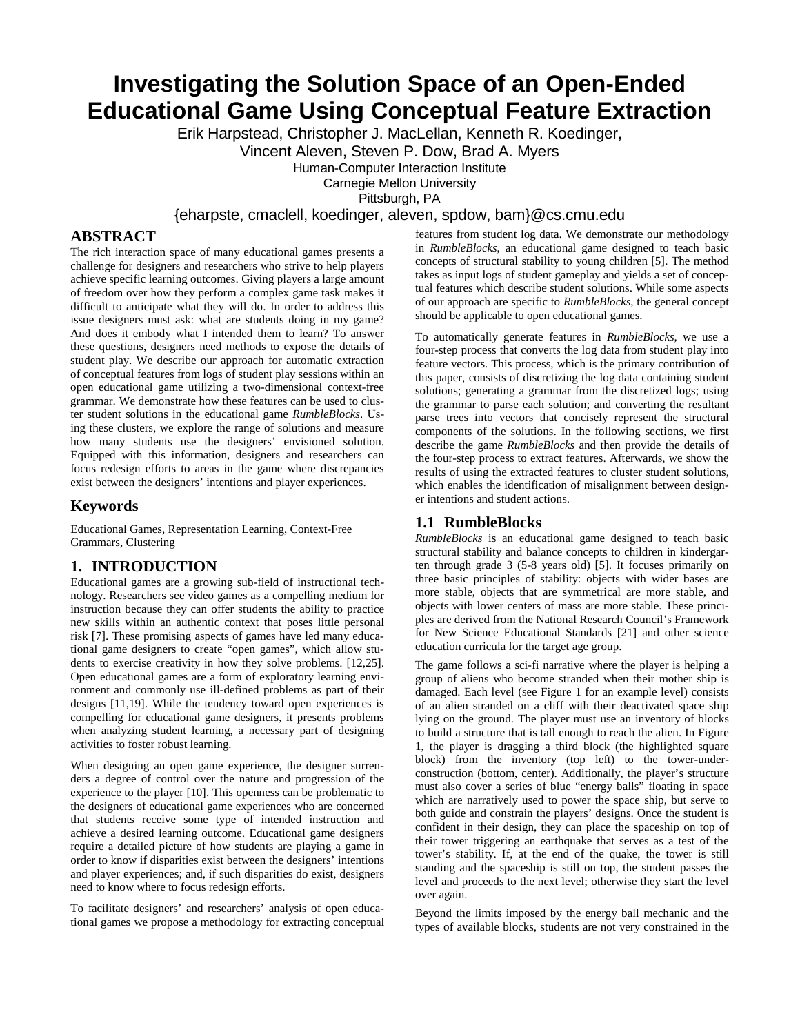# **Investigating the Solution Space of an Open-Ended Educational Game Using Conceptual Feature Extraction**

Erik Harpstead, Christopher J. MacLellan, Kenneth R. Koedinger,

Vincent Aleven, Steven P. Dow, Brad A. Myers

Human-Computer Interaction Institute

Carnegie Mellon University

Pittsburgh, PA

{eharpste, cmaclell, koedinger, aleven, spdow, bam}@cs.cmu.edu

# **ABSTRACT**

The rich interaction space of many educational games presents a challenge for designers and researchers who strive to help players achieve specific learning outcomes. Giving players a large amount of freedom over how they perform a complex game task makes it difficult to anticipate what they will do. In order to address this issue designers must ask: what are students doing in my game? And does it embody what I intended them to learn? To answer these questions, designers need methods to expose the details of student play. We describe our approach for automatic extraction of conceptual features from logs of student play sessions within an open educational game utilizing a two-dimensional context-free grammar. We demonstrate how these features can be used to cluster student solutions in the educational game *RumbleBlocks*. Using these clusters, we explore the range of solutions and measure how many students use the designers' envisioned solution. Equipped with this information, designers and researchers can focus redesign efforts to areas in the game where discrepancies exist between the designers' intentions and player experiences.

# **Keywords**

Educational Games, Representation Learning, Context-Free Grammars, Clustering

# **1. INTRODUCTION**

Educational games are a growing sub-field of instructional technology. Researchers see video games as a compelling medium for instruction because they can offer students the ability to practice new skills within an authentic context that poses little personal risk [7]. These promising aspects of games have led many educational game designers to create "open games", which allow students to exercise creativity in how they solve problems. [12,25]. Open educational games are a form of exploratory learning environment and commonly use ill-defined problems as part of their designs [11,19]. While the tendency toward open experiences is compelling for educational game designers, it presents problems when analyzing student learning, a necessary part of designing activities to foster robust learning.

When designing an open game experience, the designer surrenders a degree of control over the nature and progression of the experience to the player [10]. This openness can be problematic to the designers of educational game experiences who are concerned that students receive some type of intended instruction and achieve a desired learning outcome. Educational game designers require a detailed picture of how students are playing a game in order to know if disparities exist between the designers' intentions and player experiences; and, if such disparities do exist, designers need to know where to focus redesign efforts.

To facilitate designers' and researchers' analysis of open educational games we propose a methodology for extracting conceptual features from student log data. We demonstrate our methodology in *RumbleBlocks*, an educational game designed to teach basic concepts of structural stability to young children [5]. The method takes as input logs of student gameplay and yields a set of conceptual features which describe student solutions. While some aspects of our approach are specific to *RumbleBlocks*, the general concept should be applicable to open educational games.

To automatically generate features in *RumbleBlocks,* we use a four-step process that converts the log data from student play into feature vectors. This process, which is the primary contribution of this paper, consists of discretizing the log data containing student solutions; generating a grammar from the discretized logs; using the grammar to parse each solution; and converting the resultant parse trees into vectors that concisely represent the structural components of the solutions. In the following sections, we first describe the game *RumbleBlocks* and then provide the details of the four-step process to extract features. Afterwards, we show the results of using the extracted features to cluster student solutions, which enables the identification of misalignment between designer intentions and student actions.

# **1.1 RumbleBlocks**

*RumbleBlocks* is an educational game designed to teach basic structural stability and balance concepts to children in kindergarten through grade 3 (5-8 years old) [5]. It focuses primarily on three basic principles of stability: objects with wider bases are more stable, objects that are symmetrical are more stable, and objects with lower centers of mass are more stable. These principles are derived from the National Research Council's Framework for New Science Educational Standards [21] and other science education curricula for the target age group.

The game follows a sci-fi narrative where the player is helping a group of aliens who become stranded when their mother ship is damaged. Each level (see Figure 1 for an example level) consists of an alien stranded on a cliff with their deactivated space ship lying on the ground. The player must use an inventory of blocks to build a structure that is tall enough to reach the alien. In Figure 1, the player is dragging a third block (the highlighted square block) from the inventory (top left) to the tower-underconstruction (bottom, center). Additionally, the player's structure must also cover a series of blue "energy balls" floating in space which are narratively used to power the space ship, but serve to both guide and constrain the players' designs. Once the student is confident in their design, they can place the spaceship on top of their tower triggering an earthquake that serves as a test of the tower's stability. If, at the end of the quake, the tower is still standing and the spaceship is still on top, the student passes the level and proceeds to the next level; otherwise they start the level over again.

Beyond the limits imposed by the energy ball mechanic and the types of available blocks, students are not very constrained in the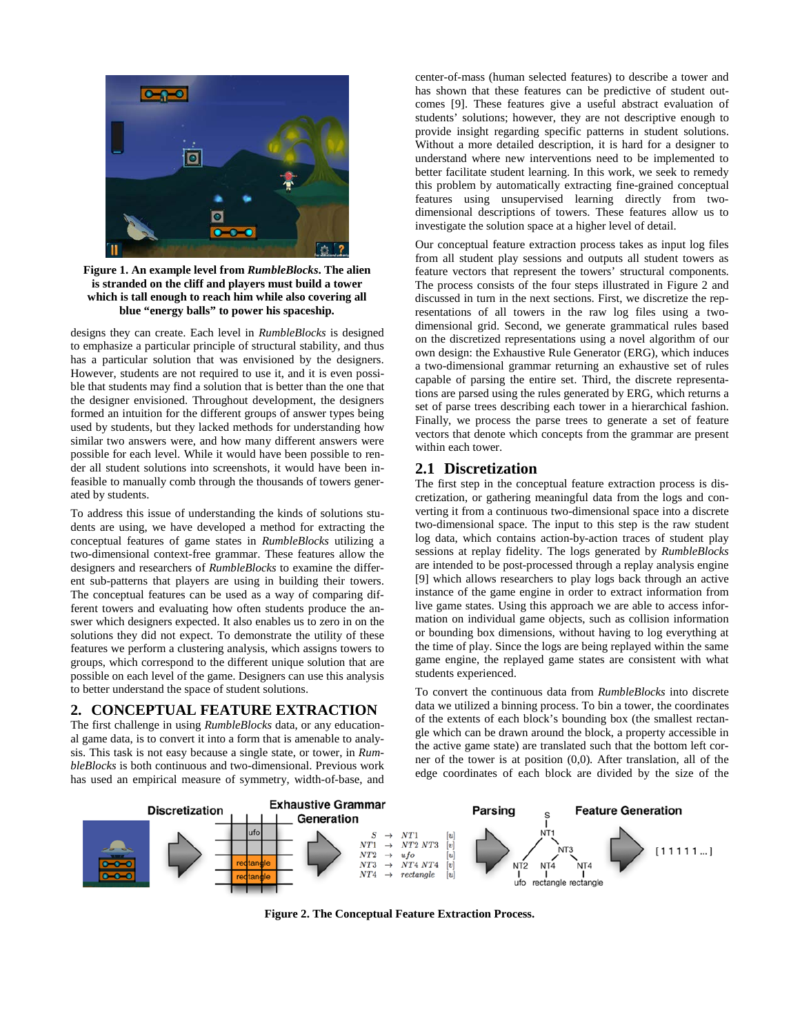

**Figure 1. An example level from** *RumbleBlocks***. The alien is stranded on the cliff and players must build a tower which is tall enough to reach him while also covering all blue "energy balls" to power his spaceship.**

designs they can create. Each level in *RumbleBlocks* is designed to emphasize a particular principle of structural stability, and thus has a particular solution that was envisioned by the designers. However, students are not required to use it, and it is even possible that students may find a solution that is better than the one that the designer envisioned. Throughout development, the designers formed an intuition for the different groups of answer types being used by students, but they lacked methods for understanding how similar two answers were, and how many different answers were possible for each level. While it would have been possible to render all student solutions into screenshots, it would have been infeasible to manually comb through the thousands of towers generated by students.

To address this issue of understanding the kinds of solutions students are using, we have developed a method for extracting the conceptual features of game states in *RumbleBlocks* utilizing a two-dimensional context-free grammar. These features allow the designers and researchers of *RumbleBlocks* to examine the different sub-patterns that players are using in building their towers. The conceptual features can be used as a way of comparing different towers and evaluating how often students produce the answer which designers expected. It also enables us to zero in on the solutions they did not expect. To demonstrate the utility of these features we perform a clustering analysis, which assigns towers to groups, which correspond to the different unique solution that are possible on each level of the game. Designers can use this analysis to better understand the space of student solutions.

# **2. CONCEPTUAL FEATURE EXTRACTION**

The first challenge in using *RumbleBlocks* data, or any educational game data, is to convert it into a form that is amenable to analysis. This task is not easy because a single state, or tower, in *RumbleBlocks* is both continuous and two-dimensional. Previous work has used an empirical measure of symmetry, width-of-base, and center-of-mass (human selected features) to describe a tower and has shown that these features can be predictive of student outcomes [9]. These features give a useful abstract evaluation of students' solutions; however, they are not descriptive enough to provide insight regarding specific patterns in student solutions. Without a more detailed description, it is hard for a designer to understand where new interventions need to be implemented to better facilitate student learning. In this work, we seek to remedy this problem by automatically extracting fine-grained conceptual features using unsupervised learning directly from twodimensional descriptions of towers. These features allow us to investigate the solution space at a higher level of detail.

Our conceptual feature extraction process takes as input log files from all student play sessions and outputs all student towers as feature vectors that represent the towers' structural components. The process consists of the four steps illustrated in Figure 2 and discussed in turn in the next sections. First, we discretize the representations of all towers in the raw log files using a twodimensional grid. Second, we generate grammatical rules based on the discretized representations using a novel algorithm of our own design: the Exhaustive Rule Generator (ERG), which induces a two-dimensional grammar returning an exhaustive set of rules capable of parsing the entire set. Third, the discrete representations are parsed using the rules generated by ERG, which returns a set of parse trees describing each tower in a hierarchical fashion. Finally, we process the parse trees to generate a set of feature vectors that denote which concepts from the grammar are present within each tower.

#### **2.1 Discretization**

The first step in the conceptual feature extraction process is discretization, or gathering meaningful data from the logs and converting it from a continuous two-dimensional space into a discrete two-dimensional space. The input to this step is the raw student log data, which contains action-by-action traces of student play sessions at replay fidelity. The logs generated by *RumbleBlocks* are intended to be post-processed through a replay analysis engine [9] which allows researchers to play logs back through an active instance of the game engine in order to extract information from live game states. Using this approach we are able to access information on individual game objects, such as collision information or bounding box dimensions, without having to log everything at the time of play. Since the logs are being replayed within the same game engine, the replayed game states are consistent with what students experienced.

To convert the continuous data from *RumbleBlocks* into discrete data we utilized a binning process. To bin a tower, the coordinates of the extents of each block's bounding box (the smallest rectangle which can be drawn around the block, a property accessible in the active game state) are translated such that the bottom left corner of the tower is at position (0,0). After translation, all of the edge coordinates of each block are divided by the size of the



**Figure 2. The Conceptual Feature Extraction Process.**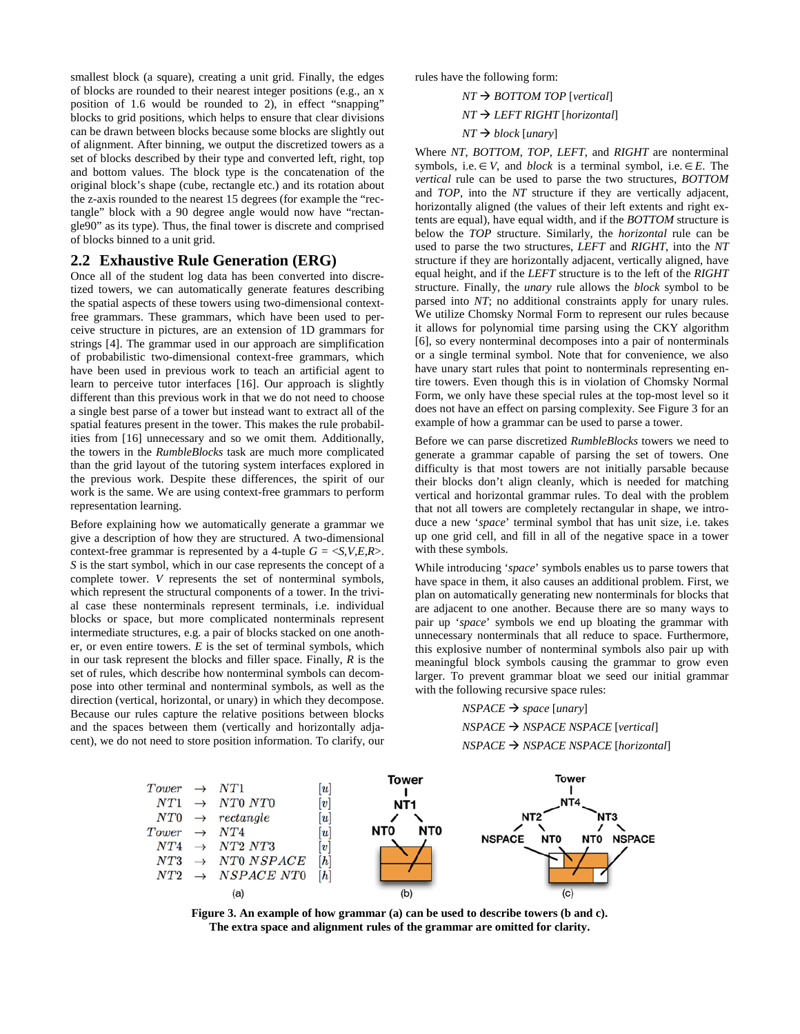smallest block (a square), creating a unit grid. Finally, the edges of blocks are rounded to their nearest integer positions (e.g., an x position of 1.6 would be rounded to 2), in effect "snapping" blocks to grid positions, which helps to ensure that clear divisions can be drawn between blocks because some blocks are slightly out of alignment. After binning, we output the discretized towers as a set of blocks described by their type and converted left, right, top and bottom values. The block type is the concatenation of the original block's shape (cube, rectangle etc.) and its rotation about the z-axis rounded to the nearest 15 degrees (for example the "rectangle" block with a 90 degree angle would now have "rectangle90" as its type). Thus, the final tower is discrete and comprised of blocks binned to a unit grid.

#### **2.2 Exhaustive Rule Generation (ERG)**

Once all of the student log data has been converted into discretized towers, we can automatically generate features describing the spatial aspects of these towers using two-dimensional contextfree grammars. These grammars, which have been used to perceive structure in pictures, are an extension of 1D grammars for strings [4]. The grammar used in our approach are simplification of probabilistic two-dimensional context-free grammars, which have been used in previous work to teach an artificial agent to learn to perceive tutor interfaces [16]. Our approach is slightly different than this previous work in that we do not need to choose a single best parse of a tower but instead want to extract all of the spatial features present in the tower. This makes the rule probabilities from [16] unnecessary and so we omit them. Additionally, the towers in the *RumbleBlocks* task are much more complicated than the grid layout of the tutoring system interfaces explored in the previous work. Despite these differences, the spirit of our work is the same. We are using context-free grammars to perform representation learning.

Before explaining how we automatically generate a grammar we give a description of how they are structured. A two-dimensional context-free grammar is represented by a 4-tuple  $G = \langle S, V, E, R \rangle$ . *S* is the start symbol, which in our case represents the concept of a complete tower. *V* represents the set of nonterminal symbols, which represent the structural components of a tower. In the trivial case these nonterminals represent terminals, i.e. individual blocks or space, but more complicated nonterminals represent intermediate structures, e.g. a pair of blocks stacked on one another, or even entire towers. *E* is the set of terminal symbols, which in our task represent the blocks and filler space. Finally, *R* is the set of rules, which describe how nonterminal symbols can decompose into other terminal and nonterminal symbols, as well as the direction (vertical, horizontal, or unary) in which they decompose. Because our rules capture the relative positions between blocks and the spaces between them (vertically and horizontally adjacent), we do not need to store position information. To clarify, our

rules have the following form:

# *NT* → *BOTTOM TOP* [*vertical*] *NT LEFT RIGHT* [*horizontal*]

#### $NT \rightarrow block$  *[unary]*

Where *NT*, *BOTTOM*, *TOP*, *LEFT*, and *RIGHT* are nonterminal symbols, i.e.∈*V*, and *block* is a terminal symbol, i.e.∈*E*. The *vertical* rule can be used to parse the two structures, *BOTTOM* and *TOP*, into the *NT* structure if they are vertically adjacent, horizontally aligned (the values of their left extents and right extents are equal), have equal width, and if the *BOTTOM* structure is below the *TOP* structure. Similarly, the *horizontal* rule can be used to parse the two structures, *LEFT* and *RIGHT*, into the *NT* structure if they are horizontally adjacent, vertically aligned, have equal height, and if the *LEFT* structure is to the left of the *RIGHT* structure. Finally, the *unary* rule allows the *block* symbol to be parsed into *NT*; no additional constraints apply for unary rules. We utilize Chomsky Normal Form to represent our rules because it allows for polynomial time parsing using the CKY algorithm [6], so every nonterminal decomposes into a pair of nonterminals or a single terminal symbol. Note that for convenience, we also have unary start rules that point to nonterminals representing entire towers. Even though this is in violation of Chomsky Normal Form, we only have these special rules at the top-most level so it does not have an effect on parsing complexity. See Figure 3 for an example of how a grammar can be used to parse a tower.

Before we can parse discretized *RumbleBlocks* towers we need to generate a grammar capable of parsing the set of towers. One difficulty is that most towers are not initially parsable because their blocks don't align cleanly, which is needed for matching vertical and horizontal grammar rules. To deal with the problem that not all towers are completely rectangular in shape, we introduce a new '*space*' terminal symbol that has unit size, i.e. takes up one grid cell, and fill in all of the negative space in a tower with these symbols.

While introducing '*space*' symbols enables us to parse towers that have space in them, it also causes an additional problem. First, we plan on automatically generating new nonterminals for blocks that are adjacent to one another. Because there are so many ways to pair up '*space*' symbols we end up bloating the grammar with unnecessary nonterminals that all reduce to space. Furthermore, this explosive number of nonterminal symbols also pair up with meaningful block symbols causing the grammar to grow even larger. To prevent grammar bloat we seed our initial grammar with the following recursive space rules:

#### $NSPACE \rightarrow space$  [*unary*]

*NSPACE NSPACE NSPACE* [*vertical*] *NSPACE NSPACE NSPACE* [*horizontal*]



**Figure 3. An example of how grammar (a) can be used to describe towers (b and c). The extra space and alignment rules of the grammar are omitted for clarity.**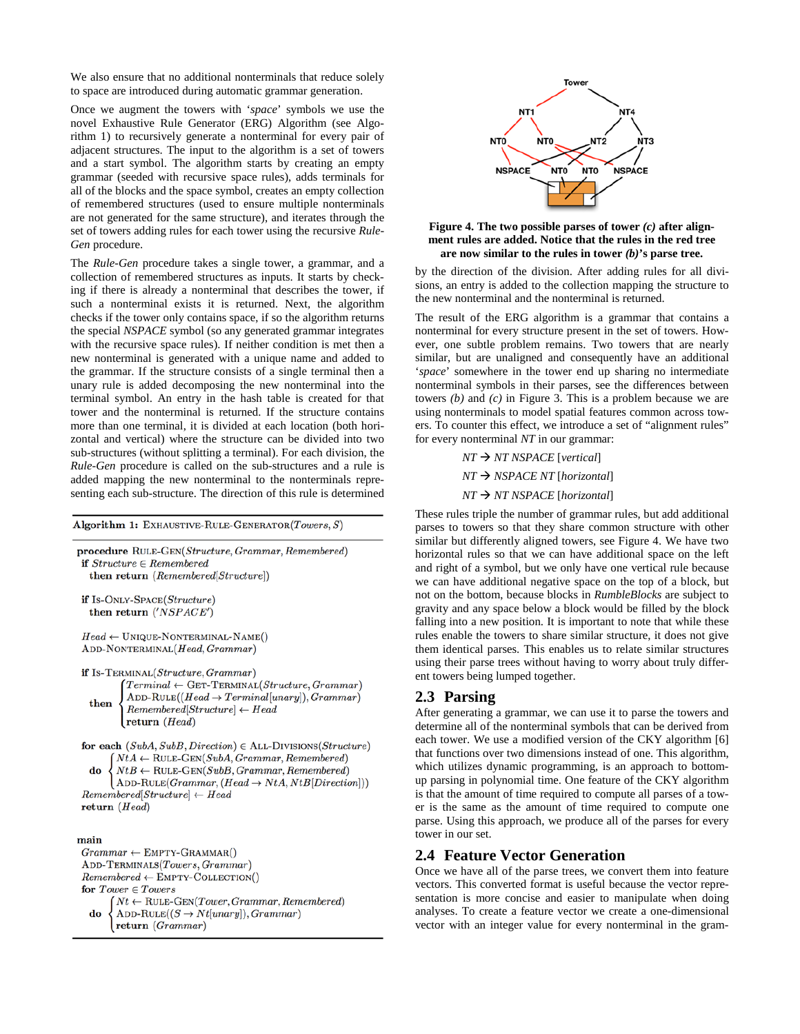We also ensure that no additional nonterminals that reduce solely to space are introduced during automatic grammar generation.

Once we augment the towers with '*space*' symbols we use the novel Exhaustive Rule Generator (ERG) Algorithm (see Algorithm 1) to recursively generate a nonterminal for every pair of adjacent structures. The input to the algorithm is a set of towers and a start symbol. The algorithm starts by creating an empty grammar (seeded with recursive space rules), adds terminals for all of the blocks and the space symbol, creates an empty collection of remembered structures (used to ensure multiple nonterminals are not generated for the same structure), and iterates through the set of towers adding rules for each tower using the recursive *Rule-Gen* procedure.

The *Rule-Gen* procedure takes a single tower, a grammar, and a collection of remembered structures as inputs. It starts by checking if there is already a nonterminal that describes the tower, if such a nonterminal exists it is returned. Next, the algorithm checks if the tower only contains space, if so the algorithm returns the special *NSPACE* symbol (so any generated grammar integrates with the recursive space rules). If neither condition is met then a new nonterminal is generated with a unique name and added to the grammar. If the structure consists of a single terminal then a unary rule is added decomposing the new nonterminal into the terminal symbol. An entry in the hash table is created for that tower and the nonterminal is returned. If the structure contains more than one terminal, it is divided at each location (both horizontal and vertical) where the structure can be divided into two sub-structures (without splitting a terminal). For each division, the *Rule-Gen* procedure is called on the sub-structures and a rule is added mapping the new nonterminal to the nonterminals representing each sub-structure. The direction of this rule is determined

Algorithm 1: EXHAUSTIVE-RULE-GENERATOR(Towers, S)

procedure RULE-GEN(Structure, Grammar, Remembered) if  $Structure \in Remembered$ then return (Remembered[Structure])

if Is-ONLY-SPACE(Structure) then return ('NSPACE')

 $Head \leftarrow$  UNIQUE-NONTERMINAL-NAME() ADD-NONTERMINAL(Head, Grammar)

if Is-TERMINAL(Structure, Grammar)  $Terminal \leftarrow$  GET-TERMINAL(Structure, Grammar)  $ADD-RULE((Head \rightarrow Terminal[unary]), Grammar)$ then  $Remembered [Structure] \leftarrow Head$ return  $(Head)$ 

for each  $(SubA, SubB, Direction) \in ALL-DIVISIONS(Structure)$  $'NtA \leftarrow \text{RULE-GEN}(SubA, Grammar, Remembered)$  $NtB \leftarrow \text{RULE-GEN}(SubB, Grammar, Remembered)$ do

 $(ADD-RULE(Grammar, (Head \rightarrow NtA, NtB[Direction]))$  $Remembered[Structure] \leftarrow Head$ return  $(Head)$ 

#### main

 $Grammar \leftarrow EMPTY-GRAMMAR()$ ADD-TERMINALS(Towers, Grammar)  $Remembered \leftarrow \text{EMPTY-COLECTION}()$ for  $Tower \in Towers$  $Nt \leftarrow \text{RULE-GEN}(Tower, Grammar, Remembered)$ do ADD-RULE $((S \rightarrow Nt[unary]), Grammar)$ return (Grammar)



**Figure 4. The two possible parses of tower** *(c)* **after alignment rules are added. Notice that the rules in the red tree are now similar to the rules in tower** *(b)***'s parse tree.**

by the direction of the division. After adding rules for all divisions, an entry is added to the collection mapping the structure to the new nonterminal and the nonterminal is returned.

The result of the ERG algorithm is a grammar that contains a nonterminal for every structure present in the set of towers. However, one subtle problem remains. Two towers that are nearly similar, but are unaligned and consequently have an additional '*space*' somewhere in the tower end up sharing no intermediate nonterminal symbols in their parses, see the differences between towers *(b)* and *(c)* in Figure 3. This is a problem because we are using nonterminals to model spatial features common across towers. To counter this effect, we introduce a set of "alignment rules" for every nonterminal *NT* in our grammar:

> $NT \rightarrow NT$  *NT NSPACE* [*vertical*] *NT NSPACE NT* [*horizontal*] *NT NT NSPACE* [*horizontal*]

These rules triple the number of grammar rules, but add additional parses to towers so that they share common structure with other similar but differently aligned towers, see Figure 4. We have two horizontal rules so that we can have additional space on the left and right of a symbol, but we only have one vertical rule because we can have additional negative space on the top of a block, but not on the bottom, because blocks in *RumbleBlocks* are subject to gravity and any space below a block would be filled by the block falling into a new position. It is important to note that while these rules enable the towers to share similar structure, it does not give them identical parses. This enables us to relate similar structures using their parse trees without having to worry about truly different towers being lumped together.

#### **2.3 Parsing**

After generating a grammar, we can use it to parse the towers and determine all of the nonterminal symbols that can be derived from each tower. We use a modified version of the CKY algorithm [6] that functions over two dimensions instead of one. This algorithm, which utilizes dynamic programming, is an approach to bottomup parsing in polynomial time. One feature of the CKY algorithm is that the amount of time required to compute all parses of a tower is the same as the amount of time required to compute one parse. Using this approach, we produce all of the parses for every tower in our set.

#### **2.4 Feature Vector Generation**

Once we have all of the parse trees, we convert them into feature vectors. This converted format is useful because the vector representation is more concise and easier to manipulate when doing analyses. To create a feature vector we create a one-dimensional vector with an integer value for every nonterminal in the gram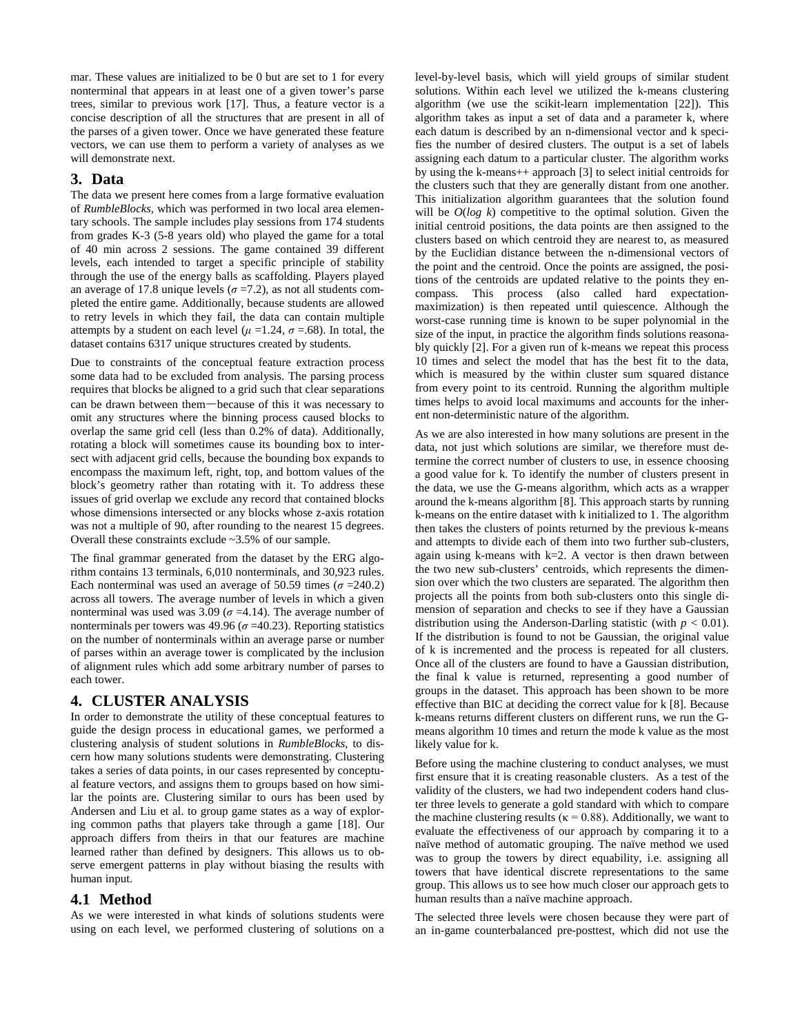mar. These values are initialized to be 0 but are set to 1 for every nonterminal that appears in at least one of a given tower's parse trees, similar to previous work [17]. Thus, a feature vector is a concise description of all the structures that are present in all of the parses of a given tower. Once we have generated these feature vectors, we can use them to perform a variety of analyses as we will demonstrate next.

#### **3. Data**

The data we present here comes from a large formative evaluation of *RumbleBlocks*, which was performed in two local area elementary schools. The sample includes play sessions from 174 students from grades K-3 (5-8 years old) who played the game for a total of 40 min across 2 sessions. The game contained 39 different levels, each intended to target a specific principle of stability through the use of the energy balls as scaffolding. Players played an average of 17.8 unique levels ( $\sigma$  =7.2), as not all students completed the entire game. Additionally, because students are allowed to retry levels in which they fail, the data can contain multiple attempts by a student on each level ( $\mu$  =1.24,  $\sigma$  =.68). In total, the dataset contains 6317 unique structures created by students.

Due to constraints of the conceptual feature extraction process some data had to be excluded from analysis. The parsing process requires that blocks be aligned to a grid such that clear separations can be drawn between them—because of this it was necessary to omit any structures where the binning process caused blocks to overlap the same grid cell (less than 0.2% of data). Additionally, rotating a block will sometimes cause its bounding box to intersect with adjacent grid cells, because the bounding box expands to encompass the maximum left, right, top, and bottom values of the block's geometry rather than rotating with it. To address these issues of grid overlap we exclude any record that contained blocks whose dimensions intersected or any blocks whose z-axis rotation was not a multiple of 90, after rounding to the nearest 15 degrees. Overall these constraints exclude ~3.5% of our sample.

The final grammar generated from the dataset by the ERG algorithm contains 13 terminals, 6,010 nonterminals, and 30,923 rules. Each nonterminal was used an average of 50.59 times ( $\sigma$  =240.2) across all towers. The average number of levels in which a given nonterminal was used was 3.09 ( $\sigma$  =4.14). The average number of nonterminals per towers was 49.96 ( $\sigma$  =40.23). Reporting statistics on the number of nonterminals within an average parse or number of parses within an average tower is complicated by the inclusion of alignment rules which add some arbitrary number of parses to each tower.

# **4. CLUSTER ANALYSIS**

In order to demonstrate the utility of these conceptual features to guide the design process in educational games, we performed a clustering analysis of student solutions in *RumbleBlocks*, to discern how many solutions students were demonstrating. Clustering takes a series of data points, in our cases represented by conceptual feature vectors, and assigns them to groups based on how similar the points are. Clustering similar to ours has been used by Andersen and Liu et al. to group game states as a way of exploring common paths that players take through a game [18]. Our approach differs from theirs in that our features are machine learned rather than defined by designers. This allows us to observe emergent patterns in play without biasing the results with human input.

#### **4.1 Method**

As we were interested in what kinds of solutions students were using on each level, we performed clustering of solutions on a level-by-level basis, which will yield groups of similar student solutions. Within each level we utilized the k-means clustering algorithm (we use the scikit-learn implementation [22]). This algorithm takes as input a set of data and a parameter k, where each datum is described by an n-dimensional vector and k specifies the number of desired clusters. The output is a set of labels assigning each datum to a particular cluster. The algorithm works by using the k-means++ approach [3] to select initial centroids for the clusters such that they are generally distant from one another. This initialization algorithm guarantees that the solution found will be  $O(\log k)$  competitive to the optimal solution. Given the initial centroid positions, the data points are then assigned to the clusters based on which centroid they are nearest to, as measured by the Euclidian distance between the n-dimensional vectors of the point and the centroid. Once the points are assigned, the positions of the centroids are updated relative to the points they encompass. This process (also called hard expectationmaximization) is then repeated until quiescence. Although the worst-case running time is known to be super polynomial in the size of the input, in practice the algorithm finds solutions reasonably quickly [2]. For a given run of k-means we repeat this process 10 times and select the model that has the best fit to the data, which is measured by the within cluster sum squared distance from every point to its centroid. Running the algorithm multiple times helps to avoid local maximums and accounts for the inherent non-deterministic nature of the algorithm.

As we are also interested in how many solutions are present in the data, not just which solutions are similar, we therefore must determine the correct number of clusters to use, in essence choosing a good value for k. To identify the number of clusters present in the data, we use the G-means algorithm, which acts as a wrapper around the k-means algorithm [8]. This approach starts by running k-means on the entire dataset with k initialized to 1. The algorithm then takes the clusters of points returned by the previous k-means and attempts to divide each of them into two further sub-clusters, again using k-means with  $k=2$ . A vector is then drawn between the two new sub-clusters' centroids, which represents the dimension over which the two clusters are separated. The algorithm then projects all the points from both sub-clusters onto this single dimension of separation and checks to see if they have a Gaussian distribution using the Anderson-Darling statistic (with  $p < 0.01$ ). If the distribution is found to not be Gaussian, the original value of k is incremented and the process is repeated for all clusters. Once all of the clusters are found to have a Gaussian distribution, the final k value is returned, representing a good number of groups in the dataset. This approach has been shown to be more effective than BIC at deciding the correct value for k [8]. Because k-means returns different clusters on different runs, we run the Gmeans algorithm 10 times and return the mode k value as the most likely value for k.

Before using the machine clustering to conduct analyses, we must first ensure that it is creating reasonable clusters. As a test of the validity of the clusters, we had two independent coders hand cluster three levels to generate a gold standard with which to compare the machine clustering results ( $\kappa = 0.88$ ). Additionally, we want to evaluate the effectiveness of our approach by comparing it to a naïve method of automatic grouping. The naïve method we used was to group the towers by direct equability, i.e. assigning all towers that have identical discrete representations to the same group. This allows us to see how much closer our approach gets to human results than a naïve machine approach.

The selected three levels were chosen because they were part of an in-game counterbalanced pre-posttest, which did not use the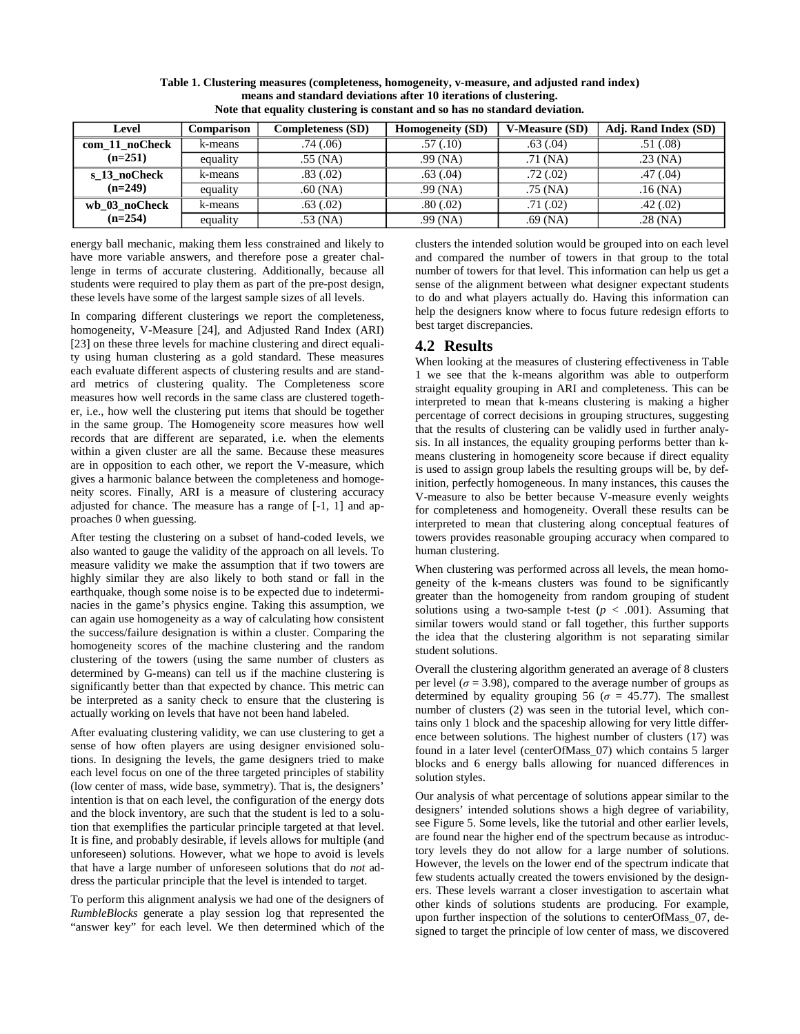| Level          | Comparison | <b>Completeness (SD)</b> | <b>Homogeneity (SD)</b> | <b>V-Measure (SD)</b> | Adj. Rand Index (SD) |
|----------------|------------|--------------------------|-------------------------|-----------------------|----------------------|
| com_11_noCheck | k-means    | .74(0.06)                | .57(.10)                | .63(.04)              | .51(0.08)            |
| $(n=251)$      | equality   | $.55$ (NA)               | $.99$ (NA)              | $.71$ (NA)            | $.23$ (NA)           |
| s 13 noCheck   | k-means    | .83(.02)                 | .63(0.04)               | .72(.02)              | .47(0.04)            |
| $(n=249)$      | equality   | $.60$ (NA)               | $.99$ (NA)              | $.75$ (NA)            | $.16$ (NA)           |
| wb 03 noCheck  | k-means    | .63(.02)                 | .80(.02)                | .71(02)               | .42(.02)             |
| $(n=254)$      | equality   | $.53$ (NA)               | $.99$ (NA)              | $.69$ (NA)            | $.28$ (NA)           |

**Table 1. Clustering measures (completeness, homogeneity, v-measure, and adjusted rand index) means and standard deviations after 10 iterations of clustering. Note that equality clustering is constant and so has no standard deviation.**

energy ball mechanic, making them less constrained and likely to have more variable answers, and therefore pose a greater challenge in terms of accurate clustering. Additionally, because all students were required to play them as part of the pre-post design, these levels have some of the largest sample sizes of all levels.

In comparing different clusterings we report the completeness, homogeneity, V-Measure [24], and Adjusted Rand Index (ARI) [23] on these three levels for machine clustering and direct equality using human clustering as a gold standard. These measures each evaluate different aspects of clustering results and are standard metrics of clustering quality. The Completeness score measures how well records in the same class are clustered together, i.e., how well the clustering put items that should be together in the same group. The Homogeneity score measures how well records that are different are separated, i.e. when the elements within a given cluster are all the same. Because these measures are in opposition to each other, we report the V-measure, which gives a harmonic balance between the completeness and homogeneity scores. Finally, ARI is a measure of clustering accuracy adjusted for chance. The measure has a range of [-1, 1] and approaches 0 when guessing.

After testing the clustering on a subset of hand-coded levels, we also wanted to gauge the validity of the approach on all levels. To measure validity we make the assumption that if two towers are highly similar they are also likely to both stand or fall in the earthquake, though some noise is to be expected due to indeterminacies in the game's physics engine. Taking this assumption, we can again use homogeneity as a way of calculating how consistent the success/failure designation is within a cluster. Comparing the homogeneity scores of the machine clustering and the random clustering of the towers (using the same number of clusters as determined by G-means) can tell us if the machine clustering is significantly better than that expected by chance. This metric can be interpreted as a sanity check to ensure that the clustering is actually working on levels that have not been hand labeled.

After evaluating clustering validity, we can use clustering to get a sense of how often players are using designer envisioned solutions. In designing the levels, the game designers tried to make each level focus on one of the three targeted principles of stability (low center of mass, wide base, symmetry). That is, the designers' intention is that on each level, the configuration of the energy dots and the block inventory, are such that the student is led to a solution that exemplifies the particular principle targeted at that level. It is fine, and probably desirable, if levels allows for multiple (and unforeseen) solutions. However, what we hope to avoid is levels that have a large number of unforeseen solutions that do *not* address the particular principle that the level is intended to target.

To perform this alignment analysis we had one of the designers of *RumbleBlocks* generate a play session log that represented the "answer key" for each level. We then determined which of the clusters the intended solution would be grouped into on each level and compared the number of towers in that group to the total number of towers for that level. This information can help us get a sense of the alignment between what designer expectant students to do and what players actually do. Having this information can help the designers know where to focus future redesign efforts to best target discrepancies.

#### **4.2 Results**

When looking at the measures of clustering effectiveness in Table 1 we see that the k-means algorithm was able to outperform straight equality grouping in ARI and completeness. This can be interpreted to mean that k-means clustering is making a higher percentage of correct decisions in grouping structures, suggesting that the results of clustering can be validly used in further analysis. In all instances, the equality grouping performs better than kmeans clustering in homogeneity score because if direct equality is used to assign group labels the resulting groups will be, by definition, perfectly homogeneous. In many instances, this causes the V-measure to also be better because V-measure evenly weights for completeness and homogeneity. Overall these results can be interpreted to mean that clustering along conceptual features of towers provides reasonable grouping accuracy when compared to human clustering.

When clustering was performed across all levels, the mean homogeneity of the k-means clusters was found to be significantly greater than the homogeneity from random grouping of student solutions using a two-sample t-test  $(p < .001)$ . Assuming that similar towers would stand or fall together, this further supports the idea that the clustering algorithm is not separating similar student solutions.

Overall the clustering algorithm generated an average of 8 clusters per level ( $\sigma$  = 3.98), compared to the average number of groups as determined by equality grouping 56 ( $\sigma = 45.77$ ). The smallest number of clusters (2) was seen in the tutorial level, which contains only 1 block and the spaceship allowing for very little difference between solutions. The highest number of clusters (17) was found in a later level (centerOfMass\_07) which contains 5 larger blocks and 6 energy balls allowing for nuanced differences in solution styles.

Our analysis of what percentage of solutions appear similar to the designers' intended solutions shows a high degree of variability, see Figure 5. Some levels, like the tutorial and other earlier levels, are found near the higher end of the spectrum because as introductory levels they do not allow for a large number of solutions. However, the levels on the lower end of the spectrum indicate that few students actually created the towers envisioned by the designers. These levels warrant a closer investigation to ascertain what other kinds of solutions students are producing. For example, upon further inspection of the solutions to centerOfMass\_07, designed to target the principle of low center of mass, we discovered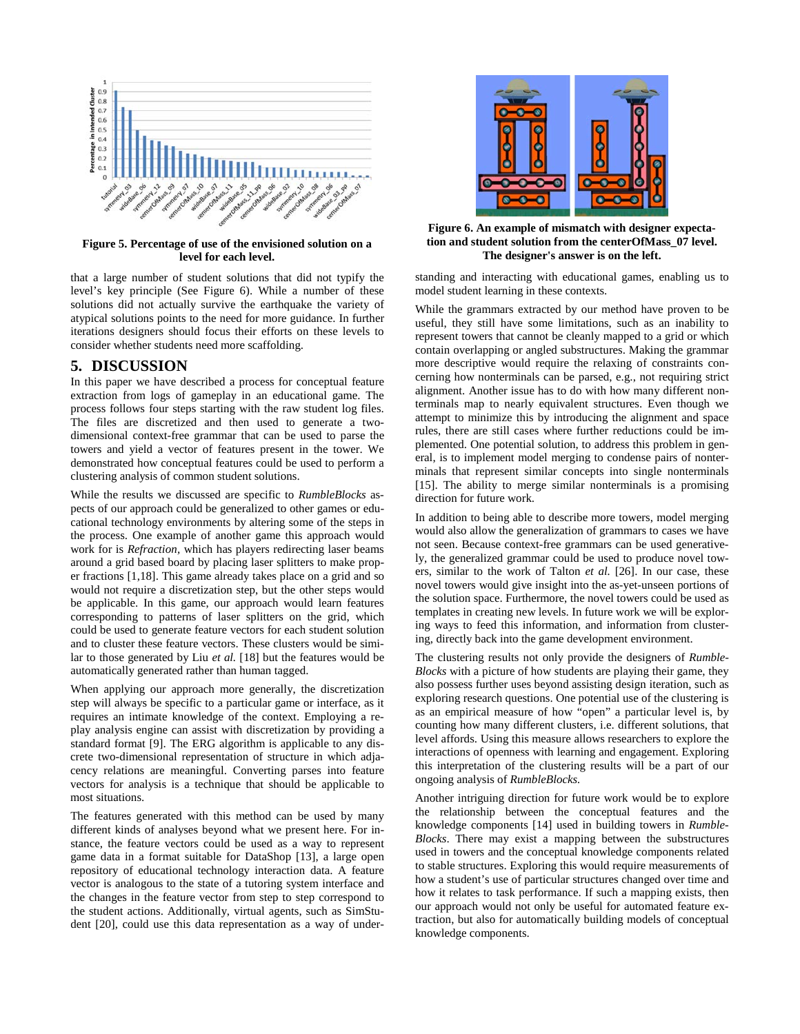

#### **Figure 5. Percentage of use of the envisioned solution on a level for each level.**

that a large number of student solutions that did not typify the level's key principle (See Figure 6). While a number of these solutions did not actually survive the earthquake the variety of atypical solutions points to the need for more guidance. In further iterations designers should focus their efforts on these levels to consider whether students need more scaffolding.

# **5. DISCUSSION**

In this paper we have described a process for conceptual feature extraction from logs of gameplay in an educational game. The process follows four steps starting with the raw student log files. The files are discretized and then used to generate a twodimensional context-free grammar that can be used to parse the towers and yield a vector of features present in the tower. We demonstrated how conceptual features could be used to perform a clustering analysis of common student solutions.

While the results we discussed are specific to *RumbleBlocks* aspects of our approach could be generalized to other games or educational technology environments by altering some of the steps in the process. One example of another game this approach would work for is *Refraction,* which has players redirecting laser beams around a grid based board by placing laser splitters to make proper fractions [1,18]. This game already takes place on a grid and so would not require a discretization step, but the other steps would be applicable. In this game, our approach would learn features corresponding to patterns of laser splitters on the grid, which could be used to generate feature vectors for each student solution and to cluster these feature vectors. These clusters would be similar to those generated by Liu *et al.* [18] but the features would be automatically generated rather than human tagged.

When applying our approach more generally, the discretization step will always be specific to a particular game or interface, as it requires an intimate knowledge of the context. Employing a replay analysis engine can assist with discretization by providing a standard format [9]. The ERG algorithm is applicable to any discrete two-dimensional representation of structure in which adjacency relations are meaningful. Converting parses into feature vectors for analysis is a technique that should be applicable to most situations.

The features generated with this method can be used by many different kinds of analyses beyond what we present here. For instance, the feature vectors could be used as a way to represent game data in a format suitable for DataShop [13], a large open repository of educational technology interaction data. A feature vector is analogous to the state of a tutoring system interface and the changes in the feature vector from step to step correspond to the student actions. Additionally, virtual agents, such as SimStudent [20], could use this data representation as a way of under-



**Figure 6. An example of mismatch with designer expectation and student solution from the centerOfMass\_07 level. The designer's answer is on the left.**

standing and interacting with educational games, enabling us to model student learning in these contexts.

While the grammars extracted by our method have proven to be useful, they still have some limitations, such as an inability to represent towers that cannot be cleanly mapped to a grid or which contain overlapping or angled substructures. Making the grammar more descriptive would require the relaxing of constraints concerning how nonterminals can be parsed, e.g., not requiring strict alignment. Another issue has to do with how many different nonterminals map to nearly equivalent structures. Even though we attempt to minimize this by introducing the alignment and space rules, there are still cases where further reductions could be implemented. One potential solution, to address this problem in general, is to implement model merging to condense pairs of nonterminals that represent similar concepts into single nonterminals [15]. The ability to merge similar nonterminals is a promising direction for future work.

In addition to being able to describe more towers, model merging would also allow the generalization of grammars to cases we have not seen. Because context-free grammars can be used generatively, the generalized grammar could be used to produce novel towers, similar to the work of Talton *et al.* [26]. In our case, these novel towers would give insight into the as-yet-unseen portions of the solution space. Furthermore, the novel towers could be used as templates in creating new levels. In future work we will be exploring ways to feed this information, and information from clustering, directly back into the game development environment.

The clustering results not only provide the designers of *Rumble-Blocks* with a picture of how students are playing their game, they also possess further uses beyond assisting design iteration, such as exploring research questions. One potential use of the clustering is as an empirical measure of how "open" a particular level is, by counting how many different clusters, i.e. different solutions, that level affords. Using this measure allows researchers to explore the interactions of openness with learning and engagement. Exploring this interpretation of the clustering results will be a part of our ongoing analysis of *RumbleBlocks.*

Another intriguing direction for future work would be to explore the relationship between the conceptual features and the knowledge components [14] used in building towers in *Rumble-Blocks*. There may exist a mapping between the substructures used in towers and the conceptual knowledge components related to stable structures. Exploring this would require measurements of how a student's use of particular structures changed over time and how it relates to task performance. If such a mapping exists, then our approach would not only be useful for automated feature extraction, but also for automatically building models of conceptual knowledge components.